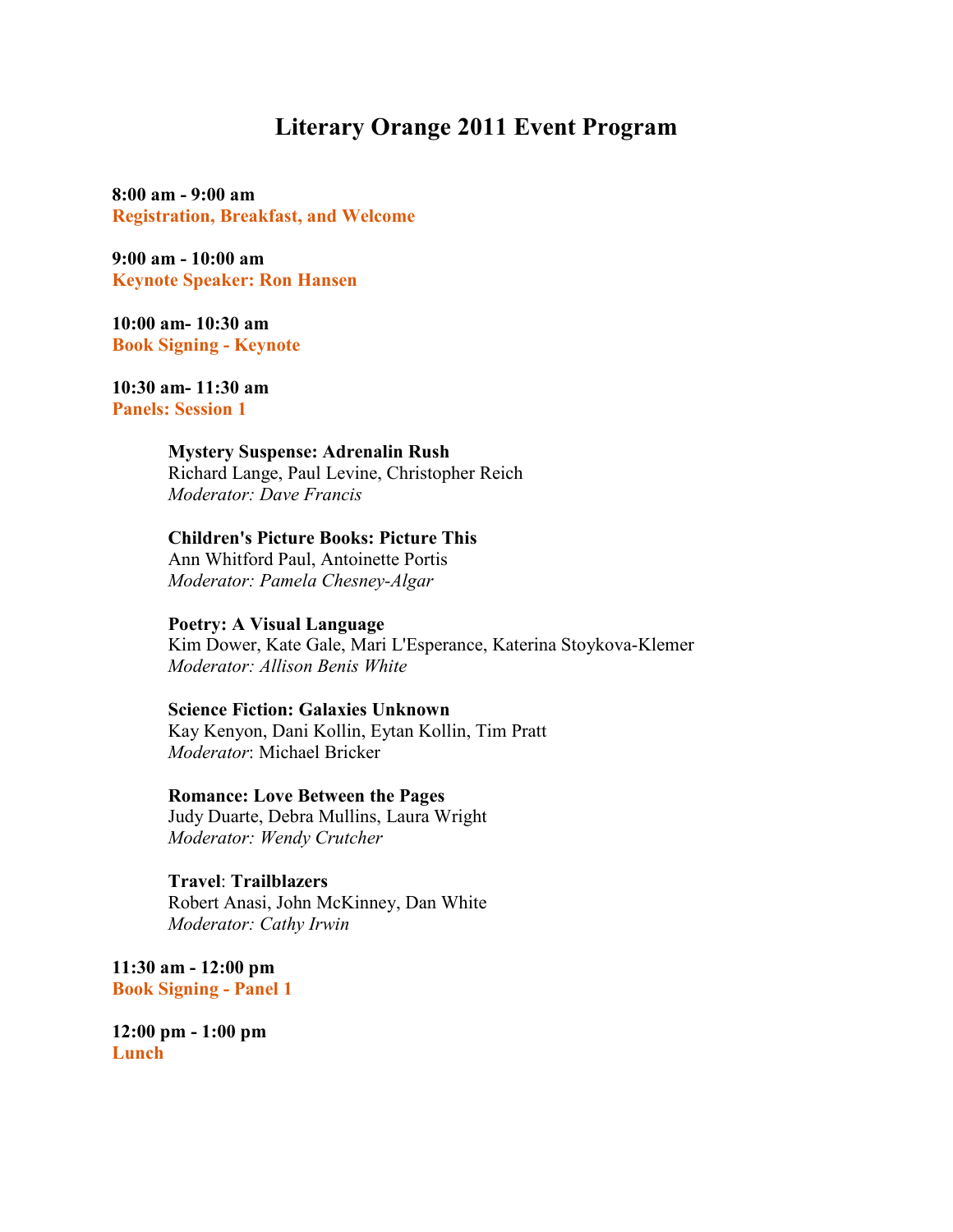## **Literary Orange 2011 Event Program**

**8:00 am - 9:00 am Registration, Breakfast, and Welcome** 

**9:00 am - 10:00 am Keynote Speaker: Ron Hansen** 

**10:00 am- 10:30 am Book Signing - Keynote** 

**10:30 am- 11:30 am Panels: Session 1** 

### **Mystery Suspense: Adrenalin Rush**

 Richard Lange, Paul Levine, Christopher Reich *Moderator: Dave Francis* 

## **Children's Picture Books: Picture This**

 Ann Whitford Paul, Antoinette Portis *Moderator: Pamela Chesney-Algar* 

**Poetry: A Visual Language** 

 Kim Dower, Kate Gale, Mari L'Esperance, Katerina Stoykova-Klemer *Moderator: Allison Benis White* 

### **Science Fiction: Galaxies Unknown**

 Kay Kenyon, Dani Kollin, Eytan Kollin, Tim Pratt *Moderator*: Michael Bricker

**Romance: Love Between the Pages**

 Judy Duarte, Debra Mullins, Laura Wright *Moderator: Wendy Crutcher*

 **Travel**: **Trailblazers** Robert Anasi, John McKinney, Dan White *Moderator: Cathy Irwin*

**11:30 am - 12:00 pm Book Signing - Panel 1** 

**12:00 pm - 1:00 pm Lunch**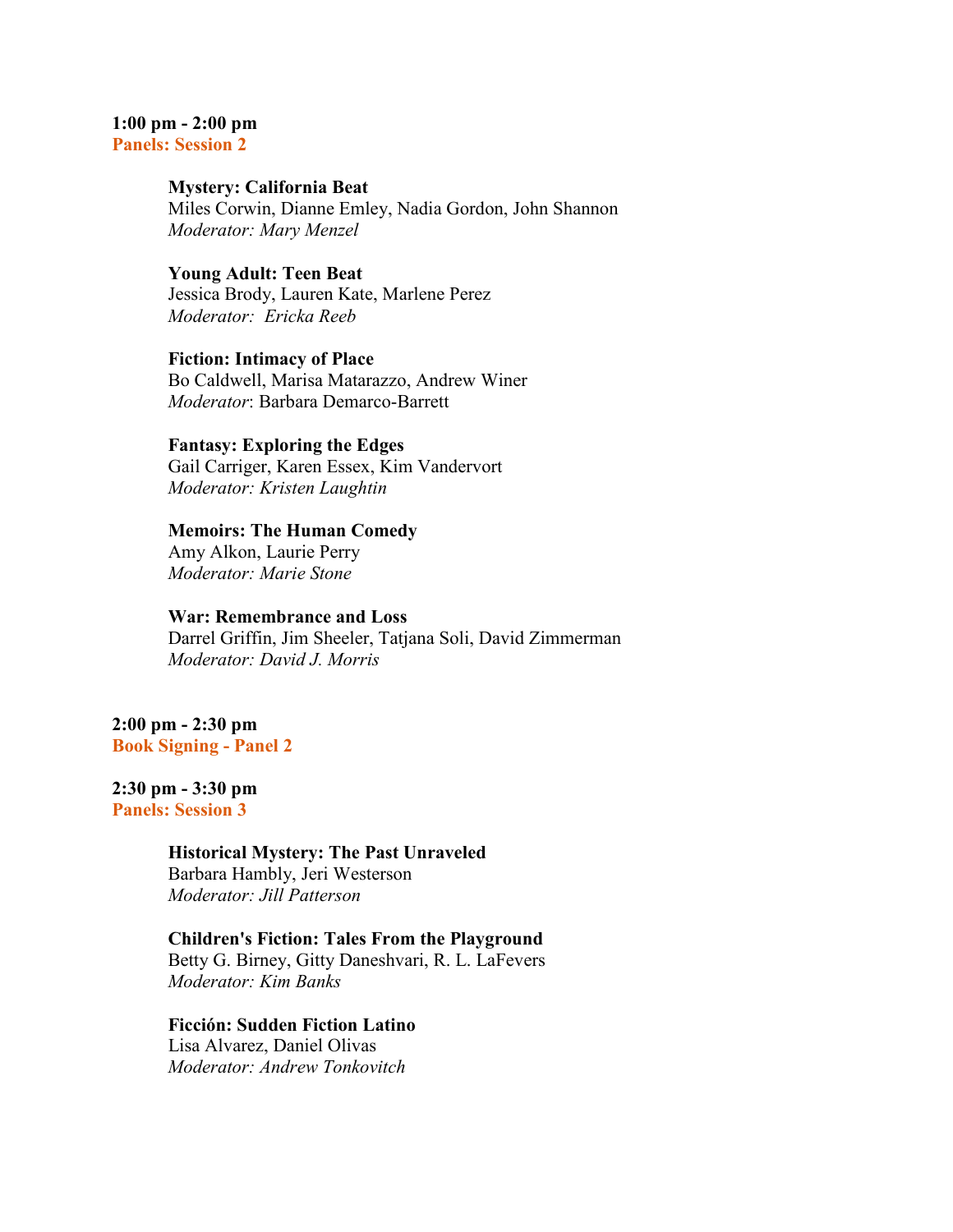# **1:00 pm - 2:00 pm**

**Panels: Session 2** 

### **Mystery: California Beat**

 Miles Corwin, Dianne Emley, Nadia Gordon, John Shannon *Moderator: Mary Menzel*

## **Young Adult: Teen Beat**

 Jessica Brody, Lauren Kate, Marlene Perez *Moderator: Ericka Reeb*

## **Fiction: Intimacy of Place**

 Bo Caldwell, Marisa Matarazzo, Andrew Winer *Moderator*: Barbara Demarco-Barrett

#### **Fantasy: Exploring the Edges**

 Gail Carriger, Karen Essex, Kim Vandervort *Moderator: Kristen Laughtin*

#### **Memoirs: The Human Comedy**

 Amy Alkon, Laurie Perry *Moderator: Marie Stone*

## **War: Remembrance and Loss**

 Darrel Griffin, Jim Sheeler, Tatjana Soli, David Zimmerman *Moderator: David J. Morris*

## **2:00 pm - 2:30 pm Book Signing - Panel 2**

## **2:30 pm - 3:30 pm**

**Panels: Session 3** 

## **Historical Mystery: The Past Unraveled**

 Barbara Hambly, Jeri Westerson  *Moderator: Jill Patterson* 

#### **Children's Fiction: Tales From the Playground**

 Betty G. Birney, Gitty Daneshvari, R. L. LaFevers *Moderator: Kim Banks*

#### **Ficción: Sudden Fiction Latino** Lisa Alvarez, Daniel Olivas

*Moderator: Andrew Tonkovitch*